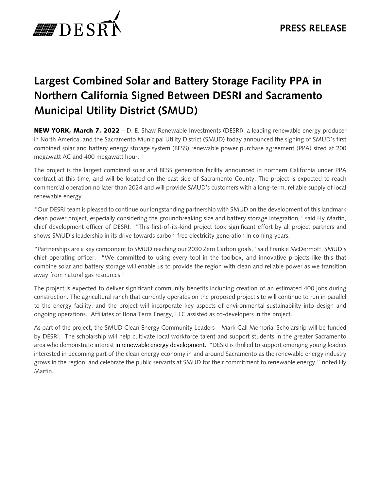

## **Largest Combined Solar and Battery Storage Facility PPA in Northern California Signed Between DESRI and Sacramento Municipal Utility District (SMUD)**

NEW YORK, March 7, 2022 – D. E. Shaw Renewable Investments (DESRI), a leading renewable energy producer in North America, and the Sacramento Municipal Utility District (SMUD) today announced the signing of SMUD's first combined solar and battery energy storage system (BESS) renewable power purchase agreement (PPA) sized at 200 megawatt AC and 400 megawatt hour.

The project is the largest combined solar and BESS generation facility announced in northern California under PPA contract at this time, and will be located on the east side of Sacramento County. The project is expected to reach commercial operation no later than 2024 and will provide SMUD's customers with a long-term, reliable supply of local renewable energy.

"Our DESRI team is pleased to continue our longstanding partnership with SMUD on the development of this landmark clean power project, especially considering the groundbreaking size and battery storage integration," said Hy Martin, chief development officer of DESRI. "This first-of-its-kind project took significant effort by all project partners and shows SMUD's leadership in its drive towards carbon-free electricity generation in coming years."

"Partnerships are a key component to SMUD reaching our 2030 Zero Carbon goals," said Frankie McDermott, SMUD's chief operating officer. "We committed to using every tool in the toolbox, and innovative projects like this that combine solar and battery storage will enable us to provide the region with clean and reliable power as we transition away from natural gas resources."

The project is expected to deliver significant community benefits including creation of an estimated 400 jobs during construction. The agricultural ranch that currently operates on the proposed project site will continue to run in parallel to the energy facility, and the project will incorporate key aspects of environmental sustainability into design and ongoing operations. Affiliates of Bona Terra Energy, LLC assisted as co-developers in the project.

As part of the project, the SMUD Clean Energy Community Leaders – Mark Gall Memorial Scholarship will be funded by DESRI. The scholarship will help cultivate local workforce talent and support students in the greater Sacramento area who demonstrate interest in renewable energy development. "DESRI is thrilled to support emerging young leaders interested in becoming part of the clean energy economy in and around Sacramento as the renewable energy industry grows in the region, and celebrate the public servants at SMUD for their commitment to renewable energy," noted Hy Martin.